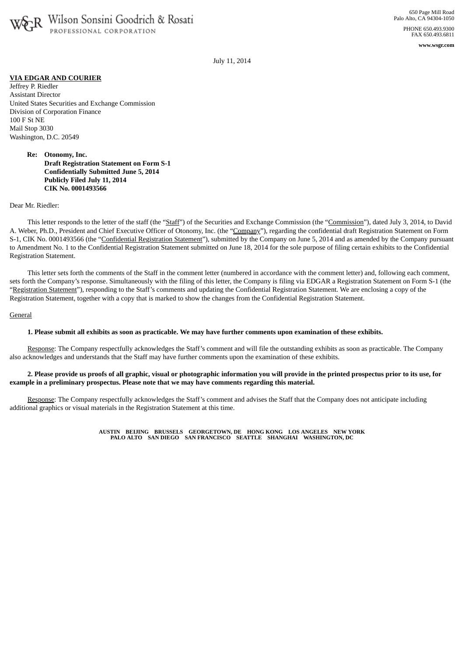

**www.wsgr.com**

July 11, 2014

## **VIA EDGAR AND COURIER**

Jeffrey P. Riedler Assistant Director United States Securities and Exchange Commission Division of Corporation Finance 100 F St NE Mail Stop 3030 Washington, D.C. 20549

> **Re: Otonomy, Inc. Draft Registration Statement on Form S-1 Confidentially Submitted June 5, 2014 Publicly Filed July 11, 2014 CIK No. 0001493566**

Dear Mr. Riedler:

This letter responds to the letter of the staff (the "Staff") of the Securities and Exchange Commission (the "Commission"), dated July 3, 2014, to David A. Weber, Ph.D., President and Chief Executive Officer of Otonomy, Inc. (the "Company"), regarding the confidential draft Registration Statement on Form S-1, CIK No. 0001493566 (the "Confidential Registration Statement"), submitted by the Company on June 5, 2014 and as amended by the Company pursuant to Amendment No. 1 to the Confidential Registration Statement submitted on June 18, 2014 for the sole purpose of filing certain exhibits to the Confidential Registration Statement.

This letter sets forth the comments of the Staff in the comment letter (numbered in accordance with the comment letter) and, following each comment, sets forth the Company's response. Simultaneously with the filing of this letter, the Company is filing via EDGAR a Registration Statement on Form S-1 (the "Registration Statement"), responding to the Staff's comments and updating the Confidential Registration Statement. We are enclosing a copy of the Registration Statement, together with a copy that is marked to show the changes from the Confidential Registration Statement.

#### General

#### 1. Please submit all exhibits as soon as practicable. We may have further comments upon examination of these exhibits.

Response: The Company respectfully acknowledges the Staff's comment and will file the outstanding exhibits as soon as practicable. The Company also acknowledges and understands that the Staff may have further comments upon the examination of these exhibits.

# 2. Please provide us proofs of all graphic, visual or photographic information you will provide in the printed prospectus prior to its use, for **example in a preliminary prospectus. Please note that we may have comments regarding this material.**

Response: The Company respectfully acknowledges the Staff's comment and advises the Staff that the Company does not anticipate including additional graphics or visual materials in the Registration Statement at this time.

> **AUSTIN BEIJING BRUSSELS GEORGETOWN, DE HONG KONG LOS ANGELES NEW YORK PALO ALTO SAN DIEGO SAN FRANCISCO SEATTLE SHANGHAI WASHINGTON, DC**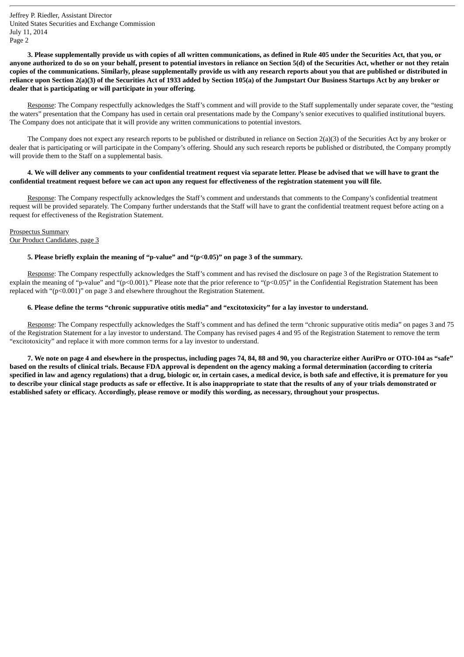3. Please supplementally provide us with copies of all written communications, as defined in Rule 405 under the Securities Act, that you, or anyone authorized to do so on your behalf, present to potential investors in reliance on Section 5(d) of the Securities Act, whether or not they retain copies of the communications. Similarly, please supplementally provide us with any research reports about you that are published or distributed in reliance upon Section 2(a)(3) of the Securities Act of 1933 added by Section 105(a) of the Jumpstart Our Business Startups Act by any broker or **dealer that is participating or will participate in your offering.**

Response: The Company respectfully acknowledges the Staff's comment and will provide to the Staff supplementally under separate cover, the "testing the waters" presentation that the Company has used in certain oral presentations made by the Company's senior executives to qualified institutional buyers. The Company does not anticipate that it will provide any written communications to potential investors.

The Company does not expect any research reports to be published or distributed in reliance on Section 2(a)(3) of the Securities Act by any broker or dealer that is participating or will participate in the Company's offering. Should any such research reports be published or distributed, the Company promptly will provide them to the Staff on a supplemental basis.

# 4. We will deliver any comments to your confidential treatment request via separate letter. Please be advised that we will have to grant the confidential treatment request before we can act upon any request for effectiveness of the registration statement you will file.

Response: The Company respectfully acknowledges the Staff's comment and understands that comments to the Company's confidential treatment request will be provided separately. The Company further understands that the Staff will have to grant the confidential treatment request before acting on a request for effectiveness of the Registration Statement.

Prospectus Summary Our Product Candidates, page 3

## **5. Please briefly explain the meaning of "p-value" and "(p<0.05)" on page 3 of the summary.**

Response: The Company respectfully acknowledges the Staff's comment and has revised the disclosure on page 3 of the Registration Statement to explain the meaning of "p-value" and "(p<0.001)." Please note that the prior reference to "(p<0.05)" in the Confidential Registration Statement has been replaced with "(p<0.001)" on page 3 and elsewhere throughout the Registration Statement.

# 6. Please define the terms "chronic suppurative otitis media" and "excitotoxicity" for a lay investor to understand.

Response: The Company respectfully acknowledges the Staff's comment and has defined the term "chronic suppurative otitis media" on pages 3 and 75 of the Registration Statement for a lay investor to understand. The Company has revised pages 4 and 95 of the Registration Statement to remove the term "excitotoxicity" and replace it with more common terms for a lay investor to understand.

7. We note on page 4 and elsewhere in the prospectus, including pages 74, 84, 88 and 90, you characterize either AuriPro or OTO-104 as "safe" based on the results of clinical trials. Because FDA approval is dependent on the agency making a formal determination (according to criteria specified in law and agency regulations) that a drug, biologic or, in certain cases, a medical device, is both safe and effective, it is premature for you to describe your clinical stage products as safe or effective. It is also inappropriate to state that the results of any of your trials demonstrated or established safety or efficacy. Accordingly, please remove or modify this wording, as necessary, throughout your prospectus.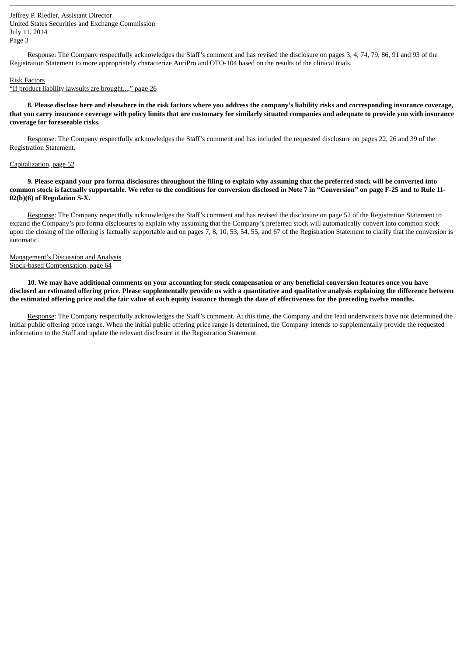Response: The Company respectfully acknowledges the Staff's comment and has revised the disclosure on pages 3, 4, 74, 79, 86, 91 and 93 of the Registration Statement to more appropriately characterize AuriPro and OTO-104 based on the results of the clinical trials.

#### Risk Factors

"If product liability lawsuits are brought...," page 26

8. Please disclose here and elsewhere in the risk factors where you address the company's liability risks and corresponding insurance coverage, that you carry insurance coverage with policy limits that are customary for similarly situated companies and adequate to provide you with insurance **coverage for foreseeable risks.**

Response: The Company respectfully acknowledges the Staff's comment and has included the requested disclosure on pages 22, 26 and 39 of the Registration Statement.

#### Capitalization, page 52

9. Please expand your pro forma disclosures throughout the filing to explain why assuming that the preferred stock will be converted into common stock is factually supportable. We refer to the conditions for conversion disclosed in Note 7 in "Conversion" on page F-25 and to Rule 11-**02(b)(6) of Regulation S-X.**

Response: The Company respectfully acknowledges the Staff's comment and has revised the disclosure on page 52 of the Registration Statement to expand the Company's pro forma disclosures to explain why assuming that the Company's preferred stock will automatically convert into common stock upon the closing of the offering is factually supportable and on pages 7, 8, 10, 53, 54, 55, and 67 of the Registration Statement to clarify that the conversion is automatic.

## Management's Discussion and Analysis Stock-based Compensation, page 64

10. We may have additional comments on your accounting for stock compensation or any beneficial conversion features once you have disclosed an estimated offering price. Please supplementally provide us with a quantitative and qualitative analysis explaining the difference between the estimated offering price and the fair value of each equity issuance through the date of effectiveness for the preceding twelve months.

Response: The Company respectfully acknowledges the Staff's comment. At this time, the Company and the lead underwriters have not determined the initial public offering price range. When the initial public offering price range is determined, the Company intends to supplementally provide the requested information to the Staff and update the relevant disclosure in the Registration Statement.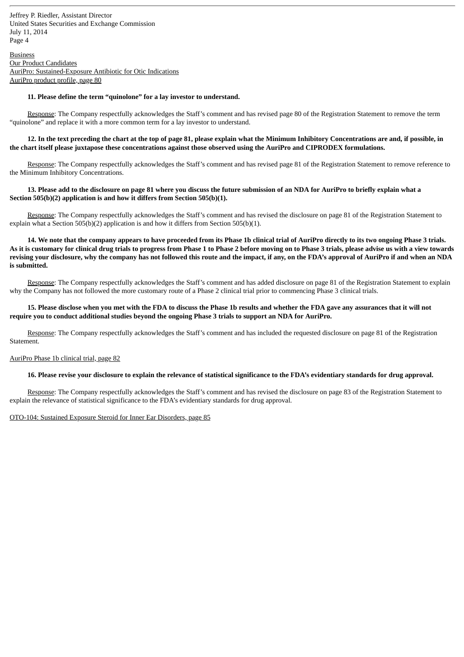Business Our Product Candidates AuriPro: Sustained-Exposure Antibiotic for Otic Indications AuriPro product profile, page 80

# **11. Please define the term "quinolone" for a lay investor to understand.**

Response: The Company respectfully acknowledges the Staff's comment and has revised page 80 of the Registration Statement to remove the term "quinolone" and replace it with a more common term for a lay investor to understand.

### 12. In the text preceding the chart at the top of page 81, please explain what the Minimum Inhibitory Concentrations are and, if possible, in the chart itself please juxtapose these concentrations against those observed using the AuriPro and CIPRODEX formulations.

Response: The Company respectfully acknowledges the Staff's comment and has revised page 81 of the Registration Statement to remove reference to the Minimum Inhibitory Concentrations.

# 13. Please add to the disclosure on page 81 where you discuss the future submission of an NDA for AuriPro to briefly explain what a **Section 505(b)(2) application is and how it differs from Section 505(b)(1).**

Response: The Company respectfully acknowledges the Staff's comment and has revised the disclosure on page 81 of the Registration Statement to explain what a Section 505(b)(2) application is and how it differs from Section 505(b)(1).

14. We note that the company appears to have proceeded from its Phase 1b clinical trial of AuriPro directly to its two ongoing Phase 3 trials. As it is customary for clinical drug trials to progress from Phase 1 to Phase 2 before moving on to Phase 3 trials, please advise us with a view towards revising your disclosure, why the company has not followed this route and the impact, if any, on the FDA's approval of AuriPro if and when an NDA **is submitted.**

Response: The Company respectfully acknowledges the Staff's comment and has added disclosure on page 81 of the Registration Statement to explain why the Company has not followed the more customary route of a Phase 2 clinical trial prior to commencing Phase 3 clinical trials.

# 15. Please disclose when you met with the FDA to discuss the Phase 1b results and whether the FDA gave any assurances that it will not require you to conduct additional studies beyond the ongoing Phase 3 trials to support an NDA for AuriPro.

Response: The Company respectfully acknowledges the Staff's comment and has included the requested disclosure on page 81 of the Registration Statement.

#### AuriPro Phase 1b clinical trial, page 82

## 16. Please revise your disclosure to explain the relevance of statistical significance to the FDA's evidentiary standards for drug approval.

Response: The Company respectfully acknowledges the Staff's comment and has revised the disclosure on page 83 of the Registration Statement to explain the relevance of statistical significance to the FDA's evidentiary standards for drug approval.

#### OTO-104: Sustained Exposure Steroid for Inner Ear Disorders, page 85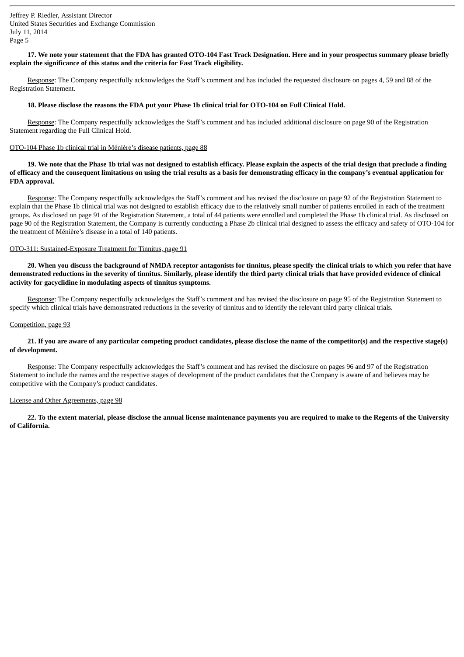# 17. We note your statement that the FDA has granted OTO-104 Fast Track Designation. Here and in your prospectus summary please briefly **explain the significance of this status and the criteria for Fast Track eligibility.**

Response: The Company respectfully acknowledges the Staff's comment and has included the requested disclosure on pages 4, 59 and 88 of the Registration Statement.

## 18. Please disclose the reasons the FDA put your Phase 1b clinical trial for OTO-104 on Full Clinical Hold.

Response: The Company respectfully acknowledges the Staff's comment and has included additional disclosure on page 90 of the Registration Statement regarding the Full Clinical Hold.

### OTO-104 Phase 1b clinical trial in Ménière's disease patients, page 88

19. We note that the Phase 1b trial was not designed to establish efficacy. Please explain the aspects of the trial design that preclude a finding of efficacy and the consequent limitations on using the trial results as a basis for demonstrating efficacy in the company's eventual application for **FDA approval.**

Response: The Company respectfully acknowledges the Staff's comment and has revised the disclosure on page 92 of the Registration Statement to explain that the Phase 1b clinical trial was not designed to establish efficacy due to the relatively small number of patients enrolled in each of the treatment groups. As disclosed on page 91 of the Registration Statement, a total of 44 patients were enrolled and completed the Phase 1b clinical trial. As disclosed on page 90 of the Registration Statement, the Company is currently conducting a Phase 2b clinical trial designed to assess the efficacy and safety of OTO-104 for the treatment of Ménière's disease in a total of 140 patients.

#### OTO-311: Sustained-Exposure Treatment for Tinnitus, page 91

20. When you discuss the background of NMDA receptor antagonists for tinnitus, please specify the clinical trials to which you refer that have demonstrated reductions in the severity of tinnitus. Similarly, please identify the third party clinical trials that have provided evidence of clinical **activity for gacyclidine in modulating aspects of tinnitus symptoms.**

Response: The Company respectfully acknowledges the Staff's comment and has revised the disclosure on page 95 of the Registration Statement to specify which clinical trials have demonstrated reductions in the severity of tinnitus and to identify the relevant third party clinical trials.

#### Competition, page 93

# 21. If you are aware of any particular competing product candidates, please disclose the name of the competitor(s) and the respective stage(s) **of development.**

Response: The Company respectfully acknowledges the Staff's comment and has revised the disclosure on pages 96 and 97 of the Registration Statement to include the names and the respective stages of development of the product candidates that the Company is aware of and believes may be competitive with the Company's product candidates.

#### License and Other Agreements, page 98

22. To the extent material, please disclose the annual license maintenance payments you are required to make to the Regents of the University **of California.**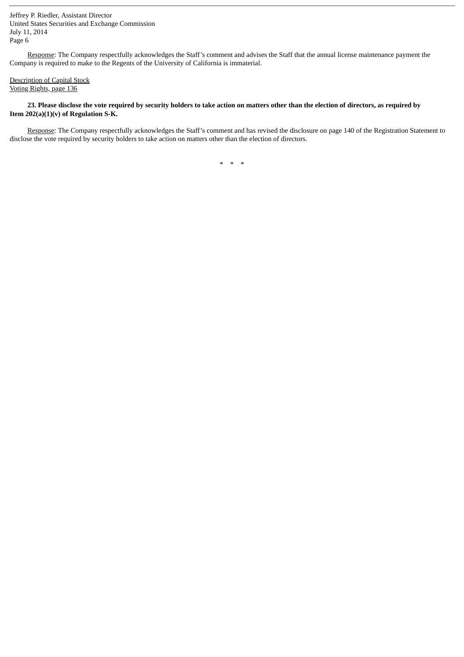Response: The Company respectfully acknowledges the Staff's comment and advises the Staff that the annual license maintenance payment the Company is required to make to the Regents of the University of California is immaterial.

# Description of Capital Stock Voting Rights, page 136

# 23. Please disclose the vote required by security holders to take action on matters other than the election of directors, as required by **Item 202(a)(1)(v) of Regulation S-K.**

Response: The Company respectfully acknowledges the Staff's comment and has revised the disclosure on page 140 of the Registration Statement to disclose the vote required by security holders to take action on matters other than the election of directors.

\* \* \*